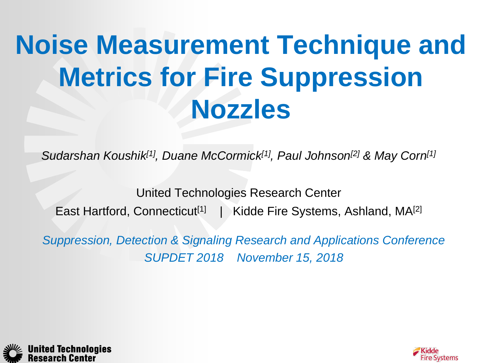# **Noise Measurement Technique and Metrics for Fire Suppression Nozzles**

*Sudarshan Koushik[1], Duane McCormick[1], Paul Johnson[2] & May Corn[1]*

United Technologies Research Center East Hartford, Connecticut<sup>[1]</sup> | Kidde Fire Systems, Ashland, MA<sup>[2]</sup>

*Suppression, Detection & Signaling Research and Applications Conference SUPDET 2018 November 15, 2018*



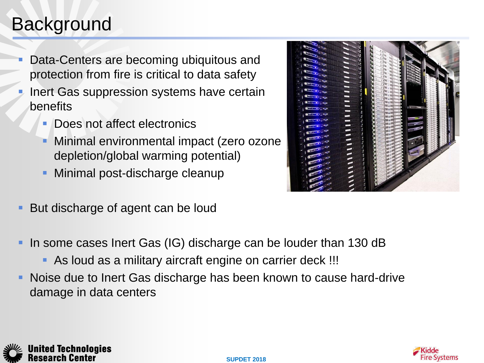# **Background**

**United Technologies** 

- Data-Centers are becoming ubiquitous and protection from fire is critical to data safety
- Inert Gas suppression systems have certain benefits
	- Does not affect electronics
	- Minimal environmental impact (zero ozone depletion/global warming potential)
	- Minimal post-discharge cleanup
- But discharge of agent can be loud
- In some cases Inert Gas (IG) discharge can be louder than 130 dB
	- As loud as a military aircraft engine on carrier deck !!!
- Noise due to Inert Gas discharge has been known to cause hard-drive damage in data centers



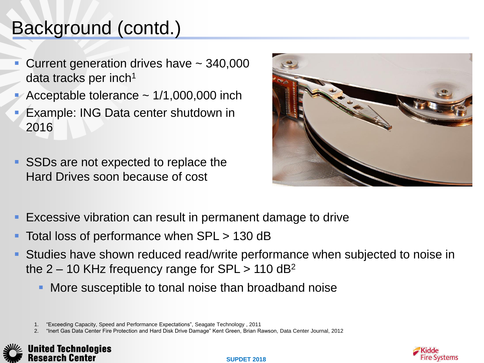# Background (contd.)

- Current generation drives have ~ 340,000 data tracks per inch $1$
- Acceptable tolerance  $\sim$  1/1,000,000 inch
- Example: ING Data center shutdown in 2016
- SSDs are not expected to replace the Hard Drives soon because of cost



- Excessive vibration can result in permanent damage to drive
- Total loss of performance when SPL > 130 dB
- Studies have shown reduced read/write performance when subjected to noise in the  $2 - 10$  KHz frequency range for SPL  $> 110$  dB<sup>2</sup>
	- More susceptible to tonal noise than broadband noise

1. "Exceeding Capacity, Speed and Performance Expectations", Seagate Technology , 2011

2. "Inert Gas Data Center Fire Protection and Hard Disk Drive Damage" Kent Green, Brian Rawson, Data Center Journal, 2012



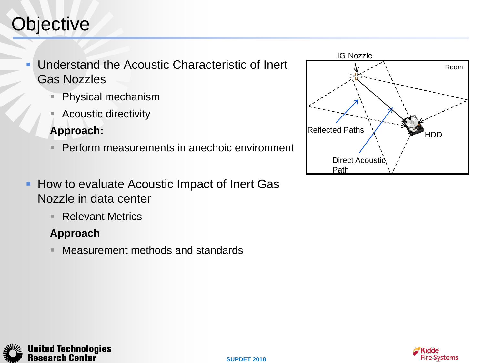# **Objective**

 Understand the Acoustic Characteristic of Inert Gas Nozzles

- Physical mechanism
- Acoustic directivity

#### **Approach:**

- Perform measurements in anechoic environment
- How to evaluate Acoustic Impact of Inert Gas Nozzle in data center
	- Relevant Metrics

#### **Approach**

**United Technologies** Research Center

Measurement methods and standards



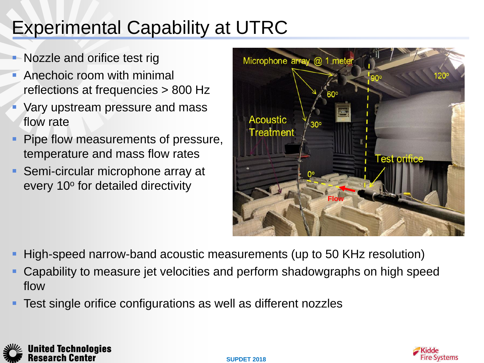# Experimental Capability at UTRC

- Nozzle and orifice test rig
- **Anechoic room with minimal** reflections at frequencies > 800 Hz
- Vary upstream pressure and mass flow rate
- Pipe flow measurements of pressure, temperature and mass flow rates
- Semi-circular microphone array at every 10° for detailed directivity



- High-speed narrow-band acoustic measurements (up to 50 KHz resolution)
- Capability to measure jet velocities and perform shadowgraphs on high speed flow
- Test single orifice configurations as well as different nozzles



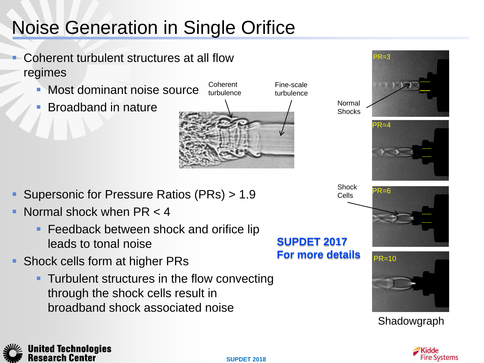# Noise Generation in Single Orifice

- Coherent turbulent structures at all flow regimes
	- Most dominant noise source **Coherent**
	- Broadband in nature
- turbulence turbulence

Fine-scale





Cells

Normal Shocks



- Normal shock when PR < 4
	- **Feedback between shock and orifice lip** leads to tonal noise
- Shock cells form at higher PRs
	- **Turbulent structures in the flow convecting** through the shock cells result in broadband shock associated noise

**SUPDET 2017 For more details**





Shadowgraph



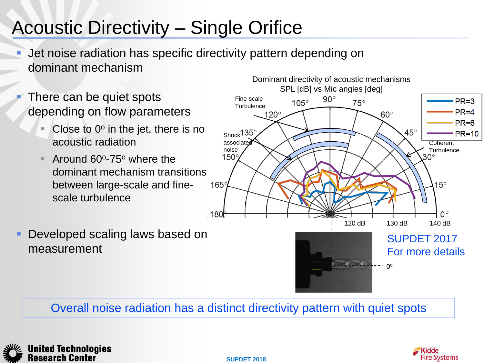# Acoustic Directivity – Single Orifice

- Jet noise radiation has specific directivity pattern depending on dominant mechanism
- There can be quiet spots depending on flow parameters
	- Close to  $0^{\circ}$  in the jet, there is no acoustic radiation
	- $\blacksquare$  Around 60 $\circ$ -75 $\circ$  where the dominant mechanism transitions between large-scale and finescale turbulence



Overall noise radiation has a distinct directivity pattern with quiet spots







**SUPDET 2018**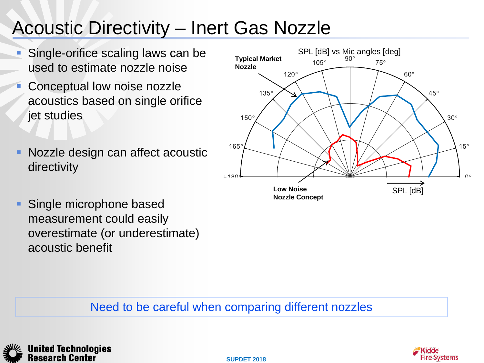### Acoustic Directivity – Inert Gas Nozzle

- Single-orifice scaling laws can be used to estimate nozzle noise
- Conceptual low noise nozzle acoustics based on single orifice jet studies
- **Nozzle design can affect acoustic** directivity



**Single microphone based** measurement could easily overestimate (or underestimate) acoustic benefit

#### Need to be careful when comparing different nozzles





**SUPDET 2018**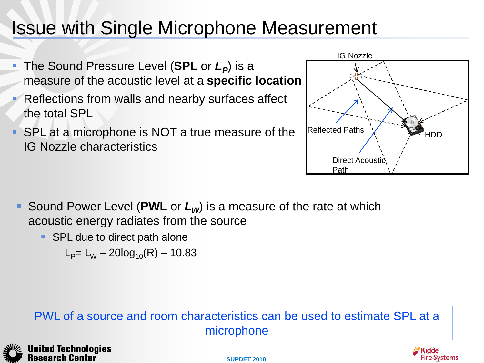### Issue with Single Microphone Measurement

- **The Sound Pressure Level (SPL or**  $L_p$ **) is a** measure of the acoustic level at a **specific location**
- Reflections from walls and nearby surfaces affect the total SPL
- SPL at a microphone is NOT a true measure of the IG Nozzle characteristics



- Sound Power Level (**PWL** or *LW*) is a measure of the rate at which acoustic energy radiates from the source
	- SPL due to direct path alone

 $L_p = L_w - 20log_{10}(R) - 10.83$ 

#### PWL of a source and room characteristics can be used to estimate SPL at a microphone





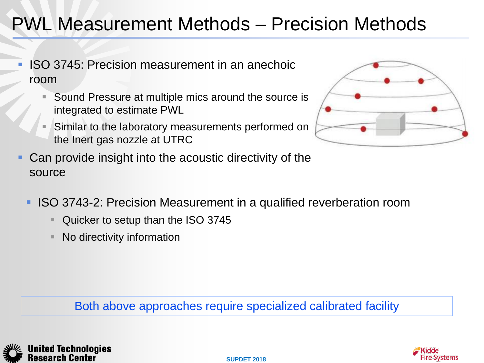# PWL Measurement Methods – Precision Methods

- ISO 3745: Precision measurement in an anechoic room
	- Sound Pressure at multiple mics around the source is integrated to estimate PWL
	- Similar to the laboratory measurements performed on the Inert gas nozzle at UTRC
- Can provide insight into the acoustic directivity of the source
	- ISO 3743-2: Precision Measurement in a qualified reverberation room
		- Quicker to setup than the ISO 3745
		- No directivity information

Both above approaches require specialized calibrated facility





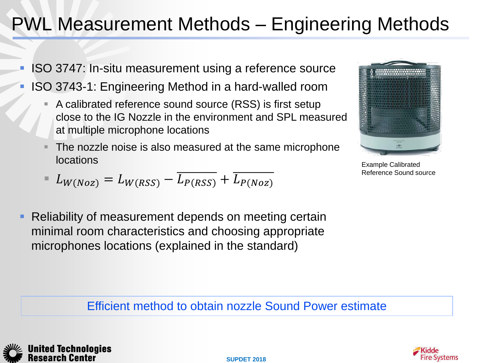# PWL Measurement Methods – Engineering Methods

- ISO 3747: In-situ measurement using a reference source
- ISO 3743-1: Engineering Method in a hard-walled room
	- A calibrated reference sound source (RSS) is first setup close to the IG Nozzle in the environment and SPL measured at multiple microphone locations
	- The nozzle noise is also measured at the same microphone locations
	- $L_{W(Noz)} = L_{W(RSS)} L_{P(RSS)} + L_{P(Noz)}$
- Reliability of measurement depends on meeting certain minimal room characteristics and choosing appropriate microphones locations (explained in the standard)



Example Calibrated Reference Sound source

Efficient method to obtain nozzle Sound Power estimate





**SUPDET 2018**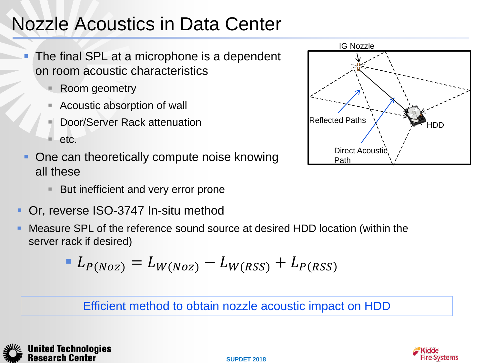# Nozzle Acoustics in Data Center

- The final SPL at a microphone is a dependent on room acoustic characteristics
	- Room geometry
	- Acoustic absorption of wall
	- Door/Server Rack attenuation
	- etc.
- One can theoretically compute noise knowing all these
	- **But inefficient and very error prone**
- Or, reverse ISO-3747 In-situ method
- Measure SPL of the reference sound source at desired HDD location (within the server rack if desired)

$$
L_{P(Noz)} = L_{W(Noz)} - L_{W(RSS)} + L_{P(RSS)}
$$

Efficient method to obtain nozzle acoustic impact on HDD





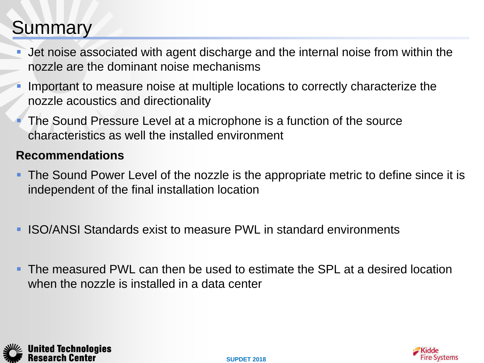### Summary

- Jet noise associated with agent discharge and the internal noise from within the nozzle are the dominant noise mechanisms
- Important to measure noise at multiple locations to correctly characterize the nozzle acoustics and directionality
- The Sound Pressure Level at a microphone is a function of the source characteristics as well the installed environment

#### **Recommendations**

- **The Sound Power Level of the nozzle is the appropriate metric to define since it is** independent of the final installation location
- **ISO/ANSI Standards exist to measure PWL in standard environments**
- **The measured PWL can then be used to estimate the SPL at a desired location** when the nozzle is installed in a data center